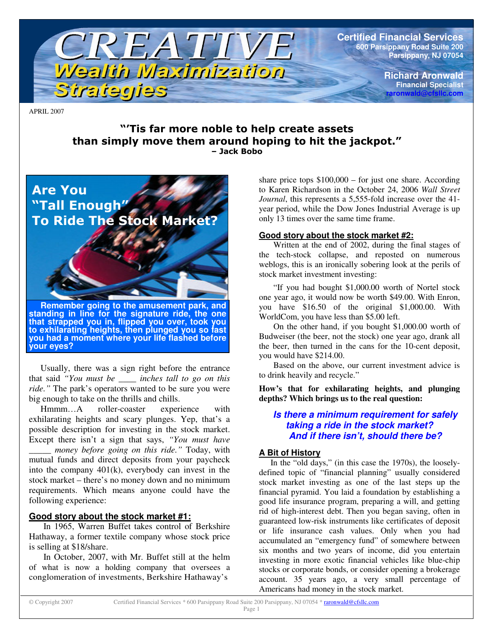

**Certified Financial Services 600 Parsippany Road Suite 200 Parsippany, NJ 07054**

> **Richard Aronwald Financial Specialist raronwald@cfsllc.com**

APRIL 2007

## "'Tis far more noble to help create assets than simply move them around hoping to hit the jackpot." – Jack Bobo



Usually, there was a sign right before the entrance that said *"You must be \_\_\_\_ inches tall to go on this ride."* The park's operators wanted to be sure you were big enough to take on the thrills and chills.

Hmmm…A roller-coaster experience with exhilarating heights and scary plunges. Yep, that's a possible description for investing in the stock market. Except there isn't a sign that says, *"You must have*

*\_\_\_\_\_ money before going on this ride."* Today, with mutual funds and direct deposits from your paycheck into the company 401(k), everybody can invest in the stock market – there's no money down and no minimum requirements. Which means anyone could have the following experience:

## **Good story about the stock market #1:**

In 1965, Warren Buffet takes control of Berkshire Hathaway, a former textile company whose stock price is selling at \$18/share.

In October, 2007, with Mr. Buffet still at the helm of what is now a holding company that oversees a conglomeration of investments, Berkshire Hathaway's

share price tops  $$100,000 - for$  just one share. According to Karen Richardson in the October 24, 2006 *Wall Street Journal*, this represents a 5,555-fold increase over the 41 year period, while the Dow Jones Industrial Average is up only 13 times over the same time frame.

#### **Good story about the stock market #2:**

Written at the end of 2002, during the final stages of the tech-stock collapse, and reposted on numerous weblogs, this is an ironically sobering look at the perils of stock market investment investing:

"If you had bought \$1,000.00 worth of Nortel stock one year ago, it would now be worth \$49.00. With Enron, you have \$16.50 of the original \$1,000.00. With WorldCom, you have less than \$5.00 left.

On the other hand, if you bought \$1,000.00 worth of Budweiser (the beer, not the stock) one year ago, drank all the beer, then turned in the cans for the 10-cent deposit, you would have \$214.00.

Based on the above, our current investment advice is to drink heavily and recycle."

**How's that for exhilarating heights, and plunging depths? Which brings us to the real question:**

#### *Is there a minimum requirement for safely taking a ride in the stock market? And if there isn't, should there be?*

## **A Bit of History**

In the "old days," (in this case the 1970s), the looselydefined topic of "financial planning" usually considered stock market investing as one of the last steps up the financial pyramid. You laid a foundation by establishing a good life insurance program, preparing a will, and getting rid of high-interest debt. Then you began saving, often in guaranteed low-risk instruments like certificates of deposit or life insurance cash values. Only when you had accumulated an "emergency fund" of somewhere between six months and two years of income, did you entertain investing in more exotic financial vehicles like blue-chip stocks or corporate bonds, or consider opening a brokerage account. 35 years ago, a very small percentage of Americans had money in the stock market.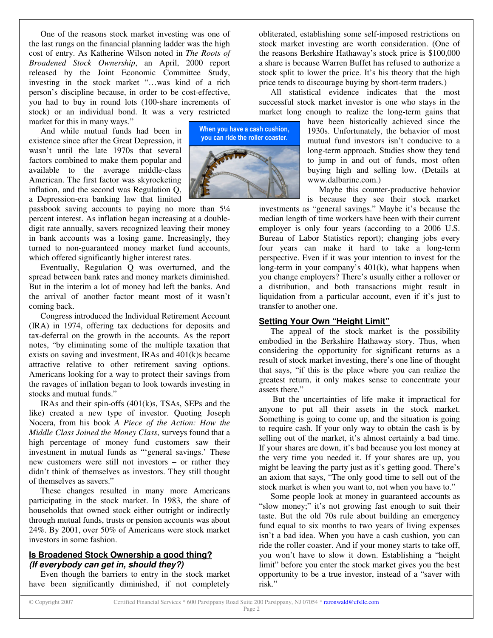One of the reasons stock market investing was one of the last rungs on the financial planning ladder was the high cost of entry. As Katherine Wilson noted in *The Roots of Broadened Stock Ownership*, an April, 2000 report released by the Joint Economic Committee Study, investing in the stock market "…was kind of a rich person's discipline because, in order to be cost-effective, you had to buy in round lots (100-share increments of stock) or an individual bond. It was a very restricted market for this in many ways."

And while mutual funds had been in existence since after the Great Depression, it wasn't until the late 1970s that several factors combined to make them popular and available to the average middle-class American. The first factor was skyrocketing inflation, and the second was Regulation Q, a Depression-era banking law that limited

passbook saving accounts to paying no more than 5¼ percent interest. As inflation began increasing at a doubledigit rate annually, savers recognized leaving their money in bank accounts was a losing game. Increasingly, they turned to non-guaranteed money market fund accounts, which offered significantly higher interest rates.

Eventually, Regulation Q was overturned, and the spread between bank rates and money markets diminished. But in the interim a lot of money had left the banks. And the arrival of another factor meant most of it wasn't coming back.

Congress introduced the Individual Retirement Account (IRA) in 1974, offering tax deductions for deposits and tax-deferral on the growth in the accounts. As the report notes, "by eliminating some of the multiple taxation that exists on saving and investment, IRAs and 401(k)s became attractive relative to other retirement saving options. Americans looking for a way to protect their savings from the ravages of inflation began to look towards investing in stocks and mutual funds."

IRAs and their spin-offs (401(k)s, TSAs, SEPs and the like) created a new type of investor. Quoting Joseph Nocera, from his book *A Piece of the Action: How the Middle Class Joined the Money Class*, surveys found that a high percentage of money fund customers saw their investment in mutual funds as "'general savings.' These new customers were still not investors – or rather they didn't think of themselves as investors. They still thought of themselves as savers."

These changes resulted in many more Americans participating in the stock market. In 1983, the share of households that owned stock either outright or indirectly through mutual funds, trusts or pension accounts was about 24%. By 2001, over 50% of Americans were stock market investors in some fashion.

#### **Is Broadened Stock Ownership a good thing?** *(If everybody can get in, should they?)*

Even though the barriers to entry in the stock market have been significantly diminished, if not completely



obliterated, establishing some self-imposed restrictions on stock market investing are worth consideration. (One of the reasons Berkshire Hathaway's stock price is \$100,000 a share is because Warren Buffet has refused to authorize a stock split to lower the price. It's his theory that the high price tends to discourage buying by short-term traders.)

All statistical evidence indicates that the most successful stock market investor is one who stays in the market long enough to realize the long-term gains that

have been historically achieved since the 1930s. Unfortunately, the behavior of most mutual fund investors isn't conducive to a long-term approach. Studies show they tend to jump in and out of funds, most often buying high and selling low. (Details at www.dalbarinc.com.)

Maybe this counter-productive behavior is because they see their stock market

investments as "general savings." Maybe it's because the median length of time workers have been with their current employer is only four years (according to a 2006 U.S. Bureau of Labor Statistics report); changing jobs every four years can make it hard to take a long-term perspective. Even if it was your intention to invest for the long-term in your company's 401(k), what happens when you change employers? There's usually either a rollover or a distribution, and both transactions might result in liquidation from a particular account, even if it's just to transfer to another one.

#### **Setting Your Own "Height Limit"**

The appeal of the stock market is the possibility embodied in the Berkshire Hathaway story. Thus, when considering the opportunity for significant returns as a result of stock market investing, there's one line of thought that says, "if this is the place where you can realize the greatest return, it only makes sense to concentrate your assets there."

But the uncertainties of life make it impractical for anyone to put all their assets in the stock market. Something is going to come up, and the situation is going to require cash. If your only way to obtain the cash is by selling out of the market, it's almost certainly a bad time. If your shares are down, it's bad because you lost money at the very time you needed it. If your shares are up, you might be leaving the party just as it's getting good. There's an axiom that says, "The only good time to sell out of the stock market is when you want to, not when you have to."

Some people look at money in guaranteed accounts as "slow money;" it's not growing fast enough to suit their taste. But the old 70s rule about building an emergency fund equal to six months to two years of living expenses isn't a bad idea. When you have a cash cushion, you can ride the roller coaster. And if your money starts to take off, you won't have to slow it down. Establishing a "height limit" before you enter the stock market gives you the best opportunity to be a true investor, instead of a "saver with risk."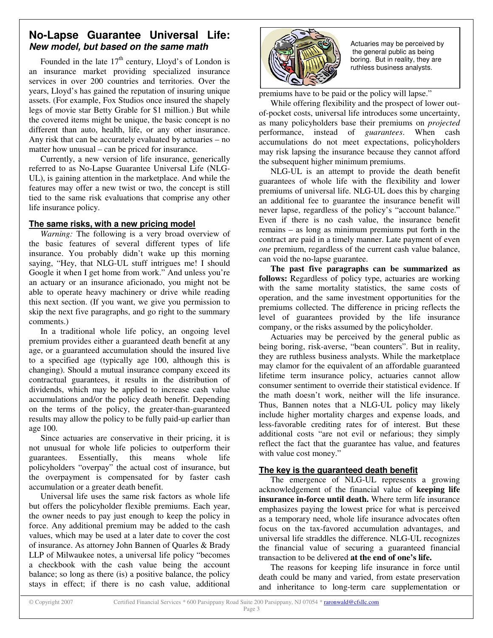# **No-Lapse Guarantee Universal Life:** *New model, but based on the same math*

Founded in the late  $17<sup>th</sup>$  century, Lloyd's of London is an insurance market providing specialized insurance services in over 200 countries and territories. Over the years, Lloyd's has gained the reputation of insuring unique assets. (For example, Fox Studios once insured the shapely legs of movie star Betty Grable for \$1 million.) But while the covered items might be unique, the basic concept is no different than auto, health, life, or any other insurance. Any risk that can be accurately evaluated by actuaries – no matter how unusual – can be priced for insurance.

Currently, a new version of life insurance, generically referred to as No-Lapse Guarantee Universal Life (NLG-UL), is gaining attention in the marketplace. And while the features may offer a new twist or two, the concept is still tied to the same risk evaluations that comprise any other life insurance policy.

#### **The same risks, with a new pricing model**

*Warning:* The following is a very broad overview of the basic features of several different types of life insurance. You probably didn't wake up this morning saying, "Hey, that NLG-UL stuff intrigues me! I should Google it when I get home from work." And unless you're an actuary or an insurance aficionado, you might not be able to operate heavy machinery or drive while reading this next section. (If you want, we give you permission to skip the next five paragraphs, and go right to the summary comments.)

In a traditional whole life policy, an ongoing level premium provides either a guaranteed death benefit at any age, or a guaranteed accumulation should the insured live to a specified age (typically age 100, although this is changing). Should a mutual insurance company exceed its contractual guarantees, it results in the distribution of dividends, which may be applied to increase cash value accumulations and/or the policy death benefit. Depending on the terms of the policy, the greater-than-guaranteed results may allow the policy to be fully paid-up earlier than age 100.

Since actuaries are conservative in their pricing, it is not unusual for whole life policies to outperform their guarantees. Essentially, this means whole life policyholders "overpay" the actual cost of insurance, but the overpayment is compensated for by faster cash accumulation or a greater death benefit.

Universal life uses the same risk factors as whole life but offers the policyholder flexible premiums. Each year, the owner needs to pay just enough to keep the policy in force. Any additional premium may be added to the cash values, which may be used at a later date to cover the cost of insurance. As attorney John Bannen of Quarles & Brady LLP of Milwaukee notes, a universal life policy "becomes a checkbook with the cash value being the account balance; so long as there (is) a positive balance, the policy stays in effect; if there is no cash value, additional



Actuaries may be perceived by the general public as being boring. But in reality, they are ruthless business analysts.

premiums have to be paid or the policy will lapse."

While offering flexibility and the prospect of lower outof-pocket costs, universal life introduces some uncertainty, as many policyholders base their premiums on *projected* performance, instead of *guarantees*. When cash accumulations do not meet expectations, policyholders may risk lapsing the insurance because they cannot afford the subsequent higher minimum premiums.

NLG-UL is an attempt to provide the death benefit guarantees of whole life with the flexibility and lower premiums of universal life. NLG-UL does this by charging an additional fee to guarantee the insurance benefit will never lapse, regardless of the policy's "account balance." Even if there is no cash value, the insurance benefit remains – as long as minimum premiums put forth in the contract are paid in a timely manner. Late payment of even *one* premium, regardless of the current cash value balance, can void the no-lapse guarantee.

**The past five paragraphs can be summarized as follows:** Regardless of policy type, actuaries are working with the same mortality statistics, the same costs of operation, and the same investment opportunities for the premiums collected. The difference in pricing reflects the level of guarantees provided by the life insurance company, or the risks assumed by the policyholder.

Actuaries may be perceived by the general public as being boring, risk-averse, "bean counters". But in reality, they are ruthless business analysts. While the marketplace may clamor for the equivalent of an affordable guaranteed lifetime term insurance policy, actuaries cannot allow consumer sentiment to override their statistical evidence. If the math doesn't work, neither will the life insurance. Thus, Bannen notes that a NLG-UL policy may likely include higher mortality charges and expense loads, and less-favorable crediting rates for of interest. But these additional costs "are not evil or nefarious; they simply reflect the fact that the guarantee has value, and features with value cost money."

## **The key is the guaranteed death benefit**

The emergence of NLG-UL represents a growing acknowledgement of the financial value of **keeping life insurance in-force until death.** Where term life insurance emphasizes paying the lowest price for what is perceived as a temporary need, whole life insurance advocates often focus on the tax-favored accumulation advantages, and universal life straddles the difference. NLG-UL recognizes the financial value of securing a guaranteed financial transaction to be delivered **at the end of one's life.**

The reasons for keeping life insurance in force until death could be many and varied, from estate preservation and inheritance to long-term care supplementation or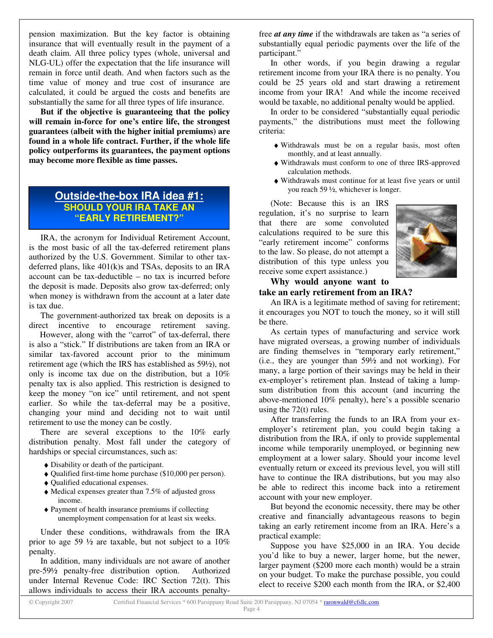pension maximization. But the key factor is obtaining insurance that will eventually result in the payment of a death claim. All three policy types (whole, universal and NLG-UL) offer the expectation that the life insurance will remain in force until death. And when factors such as the time value of money and true cost of insurance are calculated, it could be argued the costs and benefits are substantially the same for all three types of life insurance.

**But if the objective is guaranteeing that the policy will remain in-force for one's entire life, the strongest guarantees (albeit with the higher initial premiums) are found in a whole life contract. Further, if the whole life policy outperforms its guarantees, the payment options may become more flexible as time passes.**

## **Outside-the-box IRA idea #1: SHOULD YOUR IRA TAKE AN "EARLY RETIREMENT?"**

IRA, the acronym for Individual Retirement Account, is the most basic of all the tax-deferred retirement plans authorized by the U.S. Government. Similar to other taxdeferred plans, like 401(k)s and TSAs, deposits to an IRA account can be tax-deductible – no tax is incurred before the deposit is made. Deposits also grow tax-deferred; only when money is withdrawn from the account at a later date is tax due.

The government-authorized tax break on deposits is a direct incentive to encourage retirement saving.

However, along with the "carrot" of tax-deferral, there is also a "stick." If distributions are taken from an IRA or similar tax-favored account prior to the minimum retirement age (which the IRS has established as 59½), not only is income tax due on the distribution, but a 10% penalty tax is also applied. This restriction is designed to keep the money "on ice" until retirement, and not spent earlier. So while the tax-deferral may be a positive, changing your mind and deciding not to wait until retirement to use the money can be costly.

There are several exceptions to the 10% early distribution penalty. Most fall under the category of hardships or special circumstances, such as:

- ♦ Disability or death of the participant.
- ♦ Qualified first-time home purchase (\$10,000 per person).
- ♦ Qualified educational expenses.
- ♦ Medical expenses greater than 7.5% of adjusted gross income.
- ♦ Payment of health insurance premiums if collecting unemployment compensation for at least six weeks.

Under these conditions, withdrawals from the IRA prior to age 59 ½ are taxable, but not subject to a 10% penalty.

In addition, many individuals are not aware of another pre-59½ penalty-free distribution option. Authorized under Internal Revenue Code: IRC Section 72(t). This allows individuals to access their IRA accounts penaltyfree *at any time* if the withdrawals are taken as "a series of substantially equal periodic payments over the life of the participant."

In other words, if you begin drawing a regular retirement income from your IRA there is no penalty. You could be 25 years old and start drawing a retirement income from your IRA! And while the income received would be taxable, no additional penalty would be applied.

In order to be considered "substantially equal periodic payments," the distributions must meet the following criteria:

- ♦ Withdrawals must be on a regular basis, most often monthly, and at least annually.
- ♦ Withdrawals must conform to one of three IRS-approved calculation methods.
- ♦ Withdrawals must continue for at least five years or until you reach 59 ½, whichever is longer.

(Note: Because this is an IRS regulation, it's no surprise to learn that there are some convoluted calculations required to be sure this "early retirement income" conforms to the law. So please, do not attempt a distribution of this type unless you receive some expert assistance.)



#### **Why would anyone want to take an early retirement from an IRA?**

An IRA is a legitimate method of saving for retirement; it encourages you NOT to touch the money, so it will still be there.

As certain types of manufacturing and service work have migrated overseas, a growing number of individuals are finding themselves in "temporary early retirement," (i.e., they are younger than 59½ and not working). For many, a large portion of their savings may be held in their ex-employer's retirement plan. Instead of taking a lumpsum distribution from this account (and incurring the above-mentioned 10% penalty), here's a possible scenario using the 72(t) rules.

After transferring the funds to an IRA from your exemployer's retirement plan, you could begin taking a distribution from the IRA, if only to provide supplemental income while temporarily unemployed, or beginning new employment at a lower salary. Should your income level eventually return or exceed its previous level, you will still have to continue the IRA distributions, but you may also be able to redirect this income back into a retirement account with your new employer.

But beyond the economic necessity, there may be other creative and financially advantageous reasons to begin taking an early retirement income from an IRA. Here's a practical example:

Suppose you have \$25,000 in an IRA. You decide you'd like to buy a newer, larger home, but the newer, larger payment (\$200 more each month) would be a strain on your budget. To make the purchase possible, you could elect to receive \$200 each month from the IRA, or \$2,400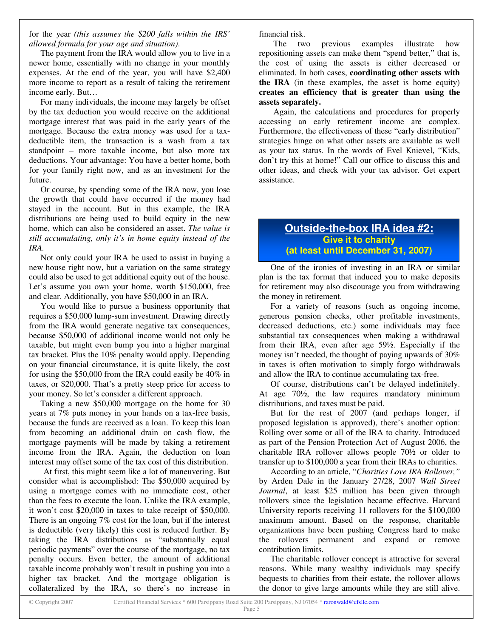for the year *(this assumes the \$200 falls within the IRS' allowed formula for your age and situation)*.

The payment from the IRA would allow you to live in a newer home, essentially with no change in your monthly expenses. At the end of the year, you will have \$2,400 more income to report as a result of taking the retirement income early. But…

For many individuals, the income may largely be offset by the tax deduction you would receive on the additional mortgage interest that was paid in the early years of the mortgage. Because the extra money was used for a taxdeductible item, the transaction is a wash from a tax standpoint – more taxable income, but also more tax deductions. Your advantage: You have a better home, both for your family right now, and as an investment for the future.

Or course, by spending some of the IRA now, you lose the growth that could have occurred if the money had stayed in the account. But in this example, the IRA distributions are being used to build equity in the new home, which can also be considered an asset. *The value is still accumulating, only it's in home equity instead of the IRA.*

Not only could your IRA be used to assist in buying a new house right now, but a variation on the same strategy could also be used to get additional equity out of the house. Let's assume you own your home, worth \$150,000, free and clear. Additionally, you have \$50,000 in an IRA.

You would like to pursue a business opportunity that requires a \$50,000 lump-sum investment. Drawing directly from the IRA would generate negative tax consequences, because \$50,000 of additional income would not only be taxable, but might even bump you into a higher marginal tax bracket. Plus the 10% penalty would apply. Depending on your financial circumstance, it is quite likely, the cost for using the \$50,000 from the IRA could easily be 40% in taxes, or \$20,000. That's a pretty steep price for access to your money. So let's consider a different approach.

Taking a new \$50,000 mortgage on the home for 30 years at 7% puts money in your hands on a tax-free basis, because the funds are received as a loan. To keep this loan from becoming an additional drain on cash flow, the mortgage payments will be made by taking a retirement income from the IRA. Again, the deduction on loan interest may offset some of the tax cost of this distribution.

At first, this might seem like a lot of maneuvering. But consider what is accomplished: The \$50,000 acquired by using a mortgage comes with no immediate cost, other than the fees to execute the loan. Unlike the IRA example, it won't cost \$20,000 in taxes to take receipt of \$50,000. There is an ongoing 7% cost for the loan, but if the interest is deductible (very likely) this cost is reduced further. By taking the IRA distributions as "substantially equal periodic payments" over the course of the mortgage, no tax penalty occurs. Even better, the amount of additional taxable income probably won't result in pushing you into a higher tax bracket. And the mortgage obligation is collateralized by the IRA, so there's no increase in

financial risk.

The two previous examples illustrate how repositioning assets can make them "spend better," that is, the cost of using the assets is either decreased or eliminated. In both cases, **coordinating other assets with the IRA** (in these examples, the asset is home equity) **creates an efficiency that is greater than using the assets separately.**

Again, the calculations and procedures for properly accessing an early retirement income are complex. Furthermore, the effectiveness of these "early distribution" strategies hinge on what other assets are available as well as your tax status. In the words of Evel Knievel, "Kids, don't try this at home!" Call our office to discuss this and other ideas, and check with your tax advisor. Get expert assistance.

## **Outside-the-box IRA idea #2: Give it to charity (at least until December 31, 2007)**

One of the ironies of investing in an IRA or similar plan is the tax format that induced you to make deposits for retirement may also discourage you from withdrawing the money in retirement.

For a variety of reasons (such as ongoing income, generous pension checks, other profitable investments, decreased deductions, etc.) some individuals may face substantial tax consequences when making a withdrawal from their IRA, even after age 59½. Especially if the money isn't needed, the thought of paying upwards of 30% in taxes is often motivation to simply forgo withdrawals and allow the IRA to continue accumulating tax-free.

Of course, distributions can't be delayed indefinitely. At age 70½, the law requires mandatory minimum distributions, and taxes must be paid.

But for the rest of 2007 (and perhaps longer, if proposed legislation is approved), there's another option: Rolling over some or all of the IRA to charity. Introduced as part of the Pension Protection Act of August 2006, the charitable IRA rollover allows people 70½ or older to transfer up to \$100,000 a year from their IRAs to charities.

According to an article, "*Charities Love IRA Rollover,"* by Arden Dale in the January 27/28, 2007 *Wall Street Journal*, at least \$25 million has been given through rollovers since the legislation became effective. Harvard University reports receiving 11 rollovers for the \$100,000 maximum amount. Based on the response, charitable organizations have been pushing Congress hard to make the rollovers permanent and expand or remove contribution limits.

The charitable rollover concept is attractive for several reasons. While many wealthy individuals may specify bequests to charities from their estate, the rollover allows the donor to give large amounts while they are still alive.